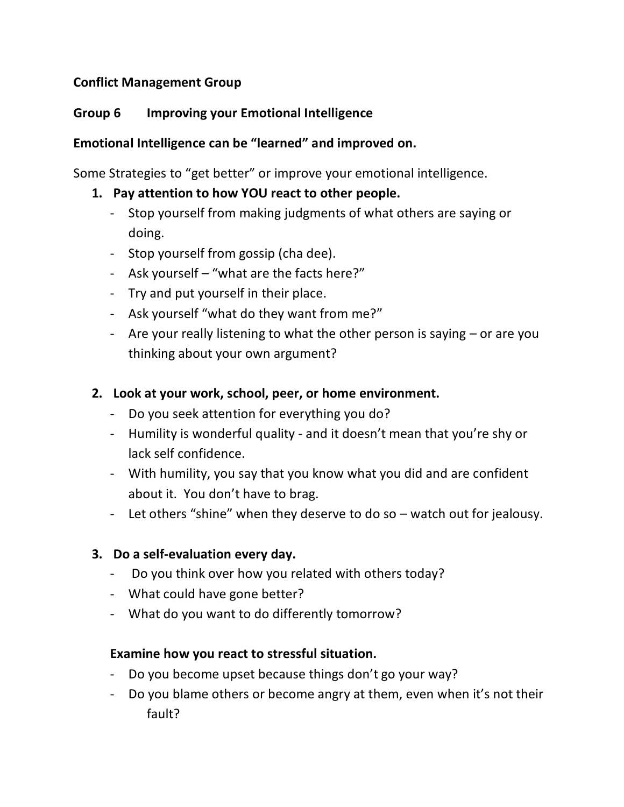# **Conflict Management Group**

# **Group 6 Improving your Emotional Intelligence**

# **Emotional Intelligence can be "learned" and improved on.**

Some Strategies to "get better" or improve your emotional intelligence.

## **1. Pay attention to how YOU react to other people.**

- Stop yourself from making judgments of what others are saying or doing.
- Stop yourself from gossip (cha dee).
- Ask yourself "what are the facts here?"
- Try and put yourself in their place.
- Ask yourself "what do they want from me?"
- Are your really listening to what the other person is saying or are you thinking about your own argument?

## **2. Look at your work, school, peer, or home environment.**

- Do you seek attention for everything you do?
- Humility is wonderful quality and it doesn't mean that you're shy or lack self confidence.
- With humility, you say that you know what you did and are confident about it. You don't have to brag.
- Let others "shine" when they deserve to do so watch out for jealousy.

### **3. Do a self-evaluation every day.**

- Do you think over how you related with others today?
- What could have gone better?
- What do you want to do differently tomorrow?

### **Examine how you react to stressful situation.**

- Do you become upset because things don't go your way?
- Do you blame others or become angry at them, even when it's not their fault?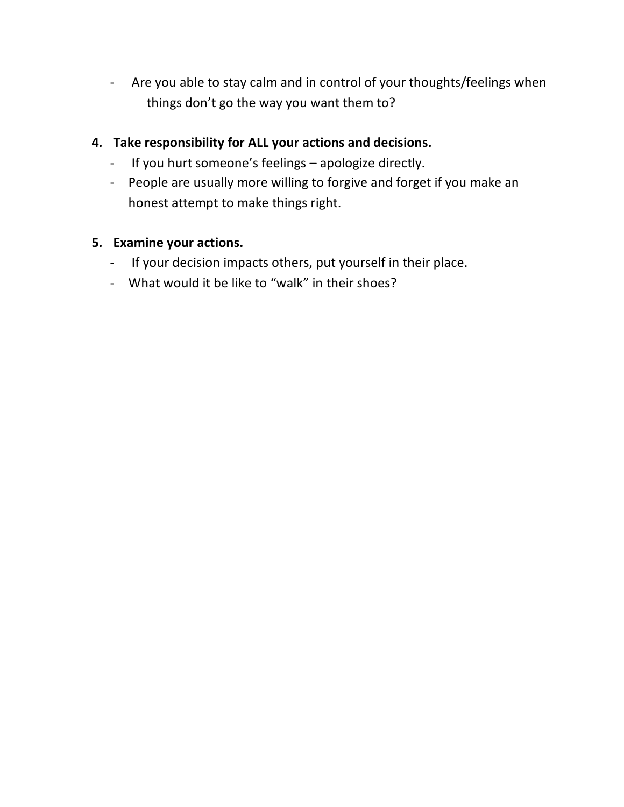- Are you able to stay calm and in control of your thoughts/feelings when things don't go the way you want them to?

# **4. Take responsibility for ALL your actions and decisions.**

- If you hurt someone's feelings apologize directly.
- People are usually more willing to forgive and forget if you make an honest attempt to make things right.

# **5. Examine your actions.**

- If your decision impacts others, put yourself in their place.
- What would it be like to "walk" in their shoes?